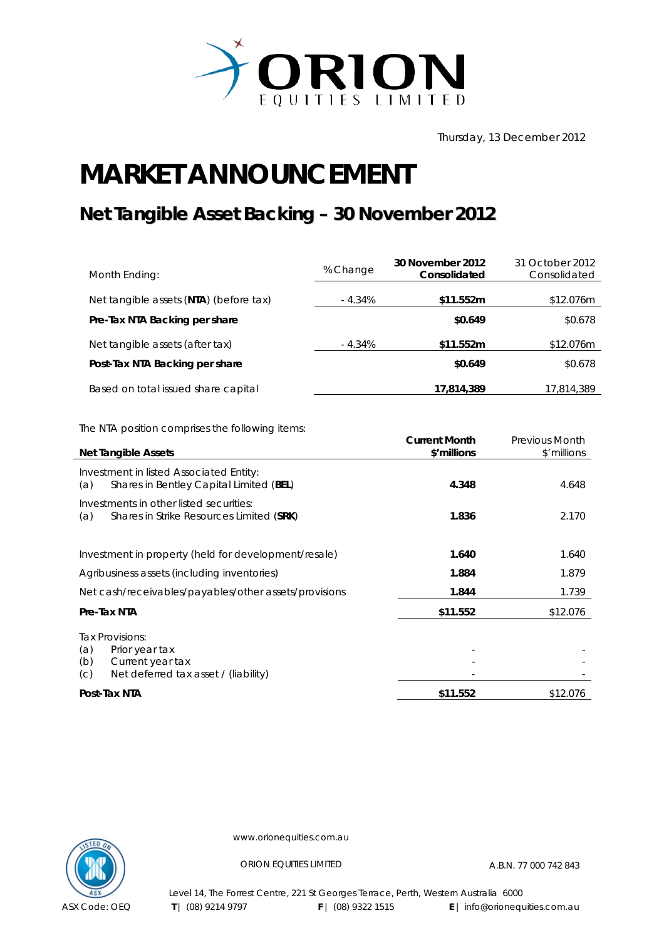

Thursday, 13 December 2012

## **MARKET ANNOUNCEMENT**

## **Net Tangible Asset Backing – 30 November 2012**

| Month Ending:                          | % Change | 30 November 2012<br>Consolidated | 31 October 2012<br>Consolidated |
|----------------------------------------|----------|----------------------------------|---------------------------------|
| Net tangible assets (NTA) (before tax) | - 4.34%  | \$11.552m                        | \$12.076m                       |
| Pre-Tax NTA Backing per share          |          | \$0.649                          | \$0.678                         |
| Net tangible assets (after tax)        | - 4.34%  | \$11.552m                        | \$12.076m                       |
| Post-Tax NTA Backing per share         |          | \$0.649                          | \$0.678                         |
| Based on total issued share capital    |          | 17,814,389                       | 17,814,389                      |

The NTA position comprises the following items:

| <b>Net Tangible Assets</b>                                                                                         | <b>Current Month</b><br>\$'millions | <b>Previous Month</b><br>\$'millions |
|--------------------------------------------------------------------------------------------------------------------|-------------------------------------|--------------------------------------|
| Investment in listed Associated Entity:<br>Shares in Bentley Capital Limited (BEL)<br>(a)                          | 4.348                               | 4.648                                |
| Investments in other listed securities:<br>Shares in Strike Resources Limited (SRK)<br>(a)                         | 1.836                               | 2.170                                |
| Investment in property (held for development/resale)                                                               | 1.640                               | 1.640                                |
| Agribusiness assets (including inventories)                                                                        | 1.884                               | 1.879                                |
| Net cash/receivables/payables/other assets/provisions                                                              | 1.844                               | 1.739                                |
| Pre-Tax NTA                                                                                                        | \$11.552                            | \$12.076                             |
| Tax Provisions:<br>(a)<br>Prior year tax<br>(b)<br>Current year tax<br>Net deferred tax asset / (liability)<br>(C) |                                     |                                      |
| Post-Tax NTA                                                                                                       | \$11.552                            | \$12.076                             |



www.orionequities.com.au

ORION EQUITIES LIMITED A.B.N. 77 000 742 843

Level 14, The Forrest Centre, 221 St Georges Terrace, Perth, Western Australia 6000  **T** | (08) 9214 9797 **F** | (08) 9322 1515 **E** | info@orionequities.com.au